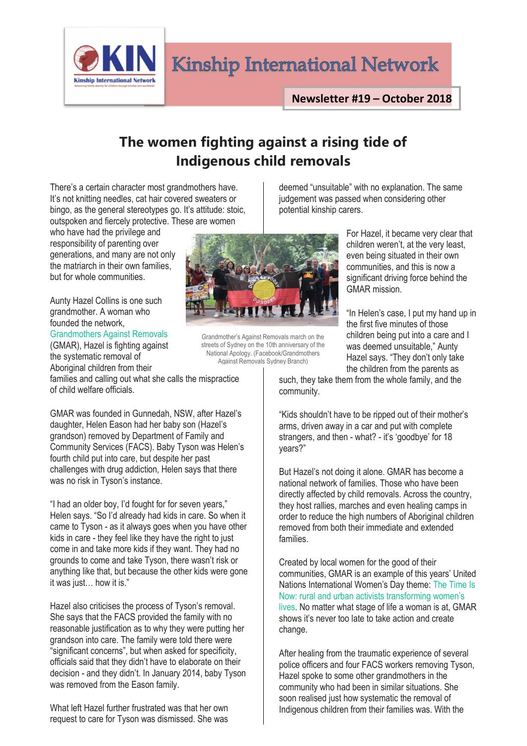Kinship International Network

## **The women fighting against a rising tide of Indigenous child removals**

There's a certain character most grandmothers have. It's not knitting needles, cat hair covered sweaters or bingo, as the general stereotypes go. It's attitude: stoic, outspoken and fiercely protective. These are women

who have had the privilege and responsibility of parenting over generations, and many are not only the matriarch in their own families, but for whole communities.

**Kinship International Network** 

Aunty Hazel Collins is one such grandmother. A woman who founded the network,

[Grandmothers Against Removals](https://www.facebook.com/gmarnsw/)

(GMAR), Hazel is fighting against the systematic removal of Aboriginal children from their families and calling out what she calls the mispractice

of child welfare officials.

GMAR was founded in Gunnedah, NSW, after Hazel's daughter, Helen Eason had her baby son (Hazel's grandson) removed by Department of Family and Community Services (FACS). Baby Tyson was Helen's fourth child put into care, but despite her past challenges with drug addiction, Helen says that there was no risk in Tyson's instance.

"I had an older boy, I'd fought for for seven years," Helen says. "So I'd already had kids in care. So when it came to Tyson - as it always goes when you have other kids in care - they feel like they have the right to just come in and take more kids if they want. They had no grounds to come and take Tyson, there wasn't risk or anything like that, but because the other kids were gone it was just… how it is."

Hazel also criticises the process of Tyson's removal. She says that the FACS provided the family with no reasonable justification as to why they were putting her grandson into care. The family were told there were "significant concerns", but when asked for specificity, officials said that they didn't have to elaborate on their decision - and they didn't. In January 2014, baby Tyson was removed from the Eason family.

What left Hazel further frustrated was that her own request to care for Tyson was dismissed. She was



Grandmother's Against Removals march on the streets of Sydney on the 10th anniversary of the National Apology. (Facebook/Grandmothers Against Removals Sydney Branch)

deemed "unsuitable" with no explanation. The same judgement was passed when considering other potential kinship carers.

> For Hazel, it became very clear that children weren't, at the very least, even being situated in their own communities, and this is now a significant driving force behind the GMAR mission.

"In Helen's case, I put my hand up in the first five minutes of those children being put into a care and I was deemed unsuitable," Aunty Hazel says. "They don't only take the children from the parents as

such, they take them from the whole family, and the community.

"Kids shouldn't have to be ripped out of their mother's arms, driven away in a car and put with complete strangers, and then - what? - it's 'goodbye' for 18 years?"

But Hazel's not doing it alone. GMAR has become a national network of families. Those who have been directly affected by child removals. Across the country, they host rallies, marches and even healing camps in order to reduce the high numbers of Aboriginal children removed from both their immediate and extended families.

Created by local women for the good of their communities, GMAR is an example of this years' United Nations International Women's Day theme: [The Time Is](http://www.unwomen.org/en/news/in-focus/international-womens-day)  [Now: rural and urban activists transforming women's](http://www.unwomen.org/en/news/in-focus/international-womens-day)  [lives.](http://www.unwomen.org/en/news/in-focus/international-womens-day) No matter what stage of life a woman is at, GMAR shows it's never too late to take action and create change.

After healing from the traumatic experience of several police officers and four FACS workers removing Tyson, Hazel spoke to some other grandmothers in the community who had been in similar situations. She soon realised just how systematic the removal of Indigenous children from their families was. With the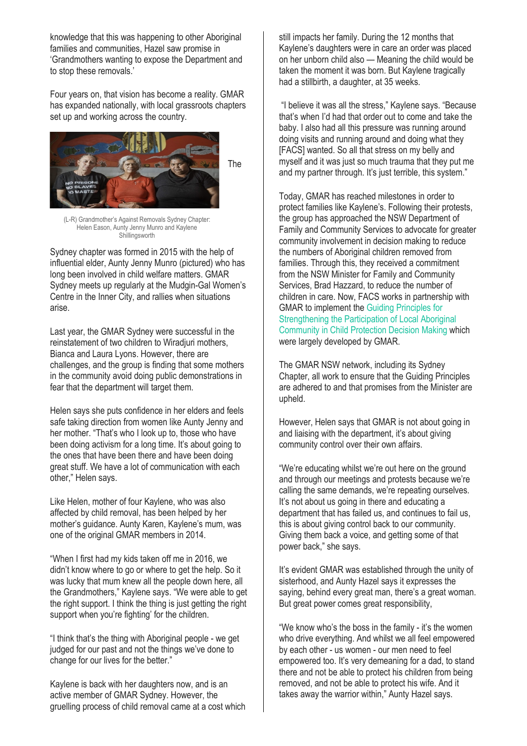knowledge that this was happening to other Aboriginal families and communities, Hazel saw promise in 'Grandmothers wanting to expose the Department and to stop these removals.'

Four years on, that vision has become a reality. GMAR has expanded nationally, with local grassroots chapters set up and working across the country.



(L-R) Grandmother's Against Removals Sydney Chapter: Helen Eason, Aunty Jenny Munro and Kaylene **Shillingsworth** 

Sydney chapter was formed in 2015 with the help of influential elder, Aunty Jenny Munro (pictured) who has long been involved in child welfare matters. GMAR Sydney meets up regularly at the Mudgin-Gal Women's Centre in the Inner City, and rallies when situations arise.

Last year, the GMAR Sydney were successful in the reinstatement of two children to Wiradjuri mothers, Bianca and Laura Lyons. However, there are challenges, and the group is finding that some mothers in the community avoid doing public demonstrations in fear that the department will target them.

Helen says she puts confidence in her elders and feels safe taking direction from women like Aunty Jenny and her mother. "That's who I look up to, those who have been doing activism for a long time. It's about going to the ones that have been there and have been doing great stuff. We have a lot of communication with each other," Helen says.

Like Helen, mother of four Kaylene, who was also affected by child removal, has been helped by her mother's guidance. Aunty Karen, Kaylene's mum, was one of the original GMAR members in 2014.

"When I first had my kids taken off me in 2016, we didn't know where to go or where to get the help. So it was lucky that mum knew all the people down here, all the Grandmothers," Kaylene says. "We were able to get the right support. I think the thing is just getting the right support when you're fighting' for the children.

"I think that's the thing with Aboriginal people - we get judged for our past and not the things we've done to change for our lives for the better."

Kaylene is back with her daughters now, and is an active member of GMAR Sydney. However, the gruelling process of child removal came at a cost which

still impacts her family. During the 12 months that Kaylene's daughters were in care an order was placed on her unborn child also — Meaning the child would be taken the moment it was born. But Kaylene tragically had a stillbirth, a daughter, at 35 weeks.

"I believe it was all the stress," Kaylene says. "Because that's when I'd had that order out to come and take the baby. I also had all this pressure was running around doing visits and running around and doing what they [FACS] wanted. So all that stress on my belly and myself and it was just so much trauma that they put me and my partner through. It's just terrible, this system."

Today, GMAR has reached milestones in order to protect families like Kaylene's. Following their protests, the group has approached the NSW Department of Family and Community Services to advocate for greater community involvement in decision making to reduce the numbers of Aboriginal children removed from families. Through this, they received a commitment from the NSW Minister for Family and Community Services, Brad Hazzard, to reduce the number of children in care. Now, FACS works in partnership with GMAR to implement the [Guiding Principles for](https://www.facs.nsw.gov.au/reforms/children,-young-people-and-families/guiding-principles-for-strengthening-the-participation-of-local-aboriginal-community-in-child-protection-decision-making)  [Strengthening the Participation of Local Aboriginal](https://www.facs.nsw.gov.au/reforms/children,-young-people-and-families/guiding-principles-for-strengthening-the-participation-of-local-aboriginal-community-in-child-protection-decision-making)  [Community in Child Protection Decision Making](https://www.facs.nsw.gov.au/reforms/children,-young-people-and-families/guiding-principles-for-strengthening-the-participation-of-local-aboriginal-community-in-child-protection-decision-making) which were largely developed by GMAR.

The GMAR NSW network, including its Sydney Chapter, all work to ensure that the Guiding Principles are adhered to and that promises from the Minister are upheld.

However, Helen says that GMAR is not about going in and liaising with the department, it's about giving community control over their own affairs.

"We're educating whilst we're out here on the ground and through our meetings and protests because we're calling the same demands, we're repeating ourselves. It's not about us going in there and educating a department that has failed us, and continues to fail us, this is about giving control back to our community. Giving them back a voice, and getting some of that power back," she says.

It's evident GMAR was established through the unity of sisterhood, and Aunty Hazel says it expresses the saying, behind every great man, there's a great woman. But great power comes great responsibility,

"We know who's the boss in the family - it's the women who drive everything. And whilst we all feel empowered by each other - us women - our men need to feel empowered too. It's very demeaning for a dad, to stand there and not be able to protect his children from being removed, and not be able to protect his wife. And it takes away the warrior within," Aunty Hazel says.